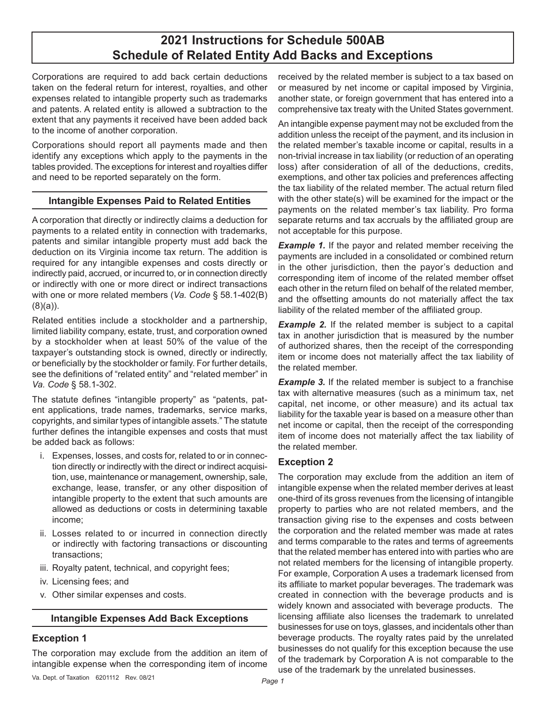Corporations are required to add back certain deductions taken on the federal return for interest, royalties, and other expenses related to intangible property such as trademarks and patents. A related entity is allowed a subtraction to the extent that any payments it received have been added back to the income of another corporation.

Corporations should report all payments made and then identify any exceptions which apply to the payments in the tables provided. The exceptions for interest and royalties differ and need to be reported separately on the form.

#### **Intangible Expenses Paid to Related Entities**

A corporation that directly or indirectly claims a deduction for payments to a related entity in connection with trademarks, patents and similar intangible property must add back the deduction on its Virginia income tax return. The addition is required for any intangible expenses and costs directly or indirectly paid, accrued, or incurred to, or in connection directly or indirectly with one or more direct or indirect transactions with one or more related members (*Va. Code* § 58.1-402(B) (8)(a)).

Related entities include a stockholder and a partnership, limited liability company, estate, trust, and corporation owned by a stockholder when at least 50% of the value of the taxpayer's outstanding stock is owned, directly or indirectly, or beneficially by the stockholder or family. For further details, see the definitions of "related entity" and "related member" in *Va. Code* § 58.1-302.

The statute defines "intangible property" as "patents, patent applications, trade names, trademarks, service marks, copyrights, and similar types of intangible assets." The statute further defines the intangible expenses and costs that must be added back as follows:

- i. Expenses, losses, and costs for, related to or in connection directly or indirectly with the direct or indirect acquisition, use, maintenance or management, ownership, sale, exchange, lease, transfer, or any other disposition of intangible property to the extent that such amounts are allowed as deductions or costs in determining taxable income;
- ii. Losses related to or incurred in connection directly or indirectly with factoring transactions or discounting transactions;
- iii. Royalty patent, technical, and copyright fees;
- iv. Licensing fees; and
- v. Other similar expenses and costs.

#### **Intangible Expenses Add Back Exceptions**

# **Exception 1**

The corporation may exclude from the addition an item of intangible expense when the corresponding item of income

Va. Dept. of Taxation <sup>6201112</sup> Rev. 08/21 *Page 1*

received by the related member is subject to a tax based on or measured by net income or capital imposed by Virginia, another state, or foreign government that has entered into a comprehensive tax treaty with the United States government.

An intangible expense payment may not be excluded from the addition unless the receipt of the payment, and its inclusion in the related member's taxable income or capital, results in a non-trivial increase in tax liability (or reduction of an operating loss) after consideration of all of the deductions, credits, exemptions, and other tax policies and preferences affecting the tax liability of the related member. The actual return filed with the other state(s) will be examined for the impact or the payments on the related member's tax liability. Pro forma separate returns and tax accruals by the affiliated group are not acceptable for this purpose.

**Example 1.** If the payor and related member receiving the payments are included in a consolidated or combined return in the other jurisdiction, then the payor's deduction and corresponding item of income of the related member offset each other in the return filed on behalf of the related member, and the offsetting amounts do not materially affect the tax liability of the related member of the affiliated group.

**Example 2.** If the related member is subject to a capital tax in another jurisdiction that is measured by the number of authorized shares, then the receipt of the corresponding item or income does not materially affect the tax liability of the related member.

**Example 3.** If the related member is subject to a franchise tax with alternative measures (such as a minimum tax, net capital, net income, or other measure) and its actual tax liability for the taxable year is based on a measure other than net income or capital, then the receipt of the corresponding item of income does not materially affect the tax liability of the related member.

# **Exception 2**

The corporation may exclude from the addition an item of intangible expense when the related member derives at least one-third of its gross revenues from the licensing of intangible property to parties who are not related members, and the transaction giving rise to the expenses and costs between the corporation and the related member was made at rates and terms comparable to the rates and terms of agreements that the related member has entered into with parties who are not related members for the licensing of intangible property. For example, Corporation A uses a trademark licensed from its affiliate to market popular beverages. The trademark was created in connection with the beverage products and is widely known and associated with beverage products. The licensing affiliate also licenses the trademark to unrelated businesses for use on toys, glasses, and incidentals other than beverage products. The royalty rates paid by the unrelated businesses do not qualify for this exception because the use of the trademark by Corporation A is not comparable to the use of the trademark by the unrelated businesses.